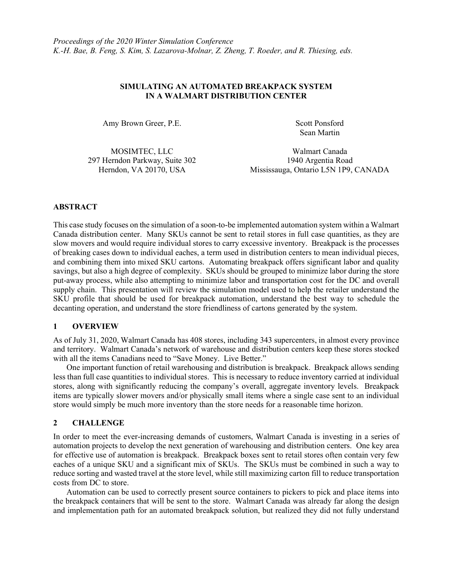## SIMULATING AN AUTOMATED BREAKPACK SYSTEM IN A WALMART DISTRIBUTION CENTER

Amy Brown Greer, P.E. Scott Ponsford

Sean Martin

MOSIMTEC, LLC Walmart Canada 297 Herndon Parkway, Suite 302 1940 Argentia Road

Herndon, VA 20170, USA Mississauga, Ontario L5N 1P9, CANADA

## ABSTRACT

This case study focuses on the simulation of a soon-to-be implemented automation system within a Walmart Canada distribution center. Many SKUs cannot be sent to retail stores in full case quantities, as they are slow movers and would require individual stores to carry excessive inventory. Breakpack is the processes of breaking cases down to individual eaches, a term used in distribution centers to mean individual pieces, and combining them into mixed SKU cartons. Automating breakpack offers significant labor and quality savings, but also a high degree of complexity. SKUs should be grouped to minimize labor during the store put-away process, while also attempting to minimize labor and transportation cost for the DC and overall supply chain. This presentation will review the simulation model used to help the retailer understand the SKU profile that should be used for breakpack automation, understand the best way to schedule the decanting operation, and understand the store friendliness of cartons generated by the system.

### 1 OVERVIEW

As of July 31, 2020, Walmart Canada has 408 stores, including 343 supercenters, in almost every province and territory. Walmart Canada's network of warehouse and distribution centers keep these stores stocked with all the items Canadians need to "Save Money. Live Better."

 One important function of retail warehousing and distribution is breakpack. Breakpack allows sending less than full case quantities to individual stores. This is necessary to reduce inventory carried at individual stores, along with significantly reducing the company's overall, aggregate inventory levels. Breakpack items are typically slower movers and/or physically small items where a single case sent to an individual store would simply be much more inventory than the store needs for a reasonable time horizon.

# 2 CHALLENGE

In order to meet the ever-increasing demands of customers, Walmart Canada is investing in a series of automation projects to develop the next generation of warehousing and distribution centers. One key area for effective use of automation is breakpack. Breakpack boxes sent to retail stores often contain very few eaches of a unique SKU and a significant mix of SKUs. The SKUs must be combined in such a way to reduce sorting and wasted travel at the store level, while still maximizing carton fill to reduce transportation costs from DC to store.

 Automation can be used to correctly present source containers to pickers to pick and place items into the breakpack containers that will be sent to the store. Walmart Canada was already far along the design and implementation path for an automated breakpack solution, but realized they did not fully understand